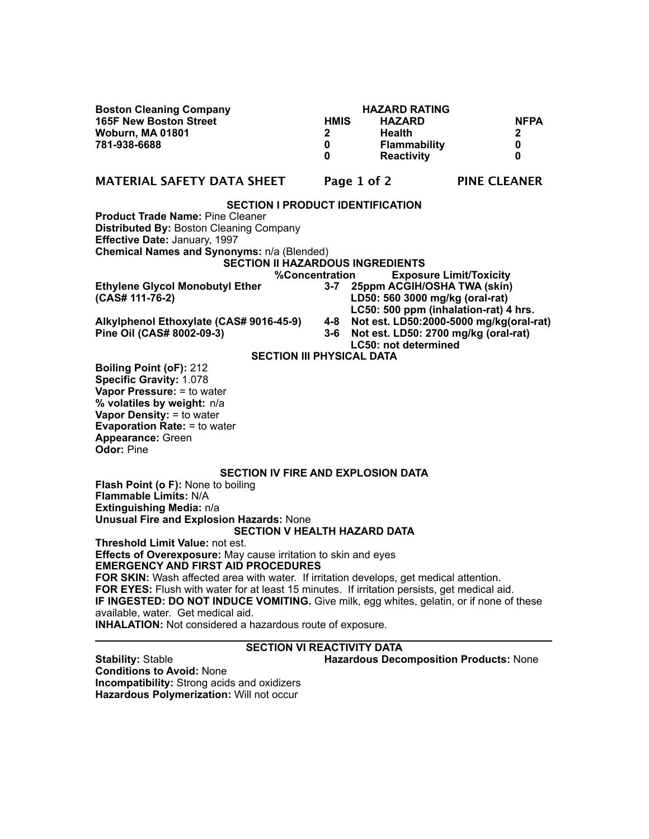| <b>Boston Cleaning Company</b><br><b>165F New Boston Street</b><br><b>Woburn, MA 01801</b><br>781-938-6688                                                                                                                                                                                         | <b>HMIS</b><br>$\mathbf{2}$<br>0<br>0 | <b>HAZARD RATING</b><br><b>HAZARD</b><br><b>Health</b><br><b>Flammability</b><br><b>Reactivity</b> | <b>NFPA</b><br>2<br>0<br>0                                                      |
|----------------------------------------------------------------------------------------------------------------------------------------------------------------------------------------------------------------------------------------------------------------------------------------------------|---------------------------------------|----------------------------------------------------------------------------------------------------|---------------------------------------------------------------------------------|
| <b>MATERIAL SAFETY DATA SHEET</b>                                                                                                                                                                                                                                                                  |                                       | Page 1 of 2                                                                                        | <b>PINE CLEANER</b>                                                             |
| <b>SECTION I PRODUCT IDENTIFICATION</b><br><b>Product Trade Name: Pine Cleaner</b><br><b>Distributed By: Boston Cleaning Company</b><br>Effective Date: January, 1997<br>Chemical Names and Synonyms: n/a (Blended)<br><b>SECTION II HAZARDOUS INGREDIENTS</b><br>%Concentration                   |                                       |                                                                                                    | <b>Exposure Limit/Toxicity</b>                                                  |
| <b>Ethylene Glycol Monobutyl Ether</b><br>(CAS# 111-76-2)                                                                                                                                                                                                                                          |                                       | LD50: 560 3000 mg/kg (oral-rat)                                                                    | 3-7 25ppm ACGIH/OSHA TWA (skin)<br>LC50: 500 ppm (inhalation-rat) 4 hrs.        |
| Alkylphenol Ethoxylate (CAS# 9016-45-9)<br>Pine Oil (CAS# 8002-09-3)                                                                                                                                                                                                                               | 4-8<br>$3-6$                          | <b>LC50: not determined</b>                                                                        | Not est. LD50:2000-5000 mg/kg(oral-rat)<br>Not est. LD50: 2700 mg/kg (oral-rat) |
| <b>SECTION III PHYSICAL DATA</b>                                                                                                                                                                                                                                                                   |                                       |                                                                                                    |                                                                                 |
| <b>Boiling Point (oF): 212</b><br>Specific Gravity: 1.078<br>Vapor Pressure: = to water<br>% volatiles by weight: n/a<br>Vapor Density: = to water<br><b>Evaporation Rate: = to water</b><br><b>Appearance: Green</b><br><b>Odor: Pine</b>                                                         |                                       |                                                                                                    |                                                                                 |
| <b>SECTION IV FIRE AND EXPLOSION DATA</b><br><b>Flash Point (o F): None to boiling</b><br><b>Flammable Limits: N/A</b><br>Extinguishing Media: n/a                                                                                                                                                 |                                       |                                                                                                    |                                                                                 |
| <b>Unusual Fire and Explosion Hazards: None</b>                                                                                                                                                                                                                                                    |                                       |                                                                                                    |                                                                                 |
| <b>SECTION V HEALTH HAZARD DATA</b><br>Threshold Limit Value: not est.                                                                                                                                                                                                                             |                                       |                                                                                                    |                                                                                 |
| <b>Effects of Overexposure:</b> May cause irritation to skin and eyes<br><b>EMERGENCY AND FIRST AID PROCEDURES</b><br>FOR SKIN: Wash affected area with water. If irritation develops, get medical attention.                                                                                      |                                       |                                                                                                    |                                                                                 |
| FOR EYES: Flush with water for at least 15 minutes. If irritation persists, get medical aid.<br>IF INGESTED: DO NOT INDUCE VOMITING. Give milk, egg whites, gelatin, or if none of these<br>available, water. Get medical aid.<br><b>INHALATION:</b> Not considered a hazardous route of exposure. |                                       |                                                                                                    |                                                                                 |
| <b>SECTION VI REACTIVITY DATA</b>                                                                                                                                                                                                                                                                  |                                       |                                                                                                    |                                                                                 |
| <b>Stability: Stable</b>                                                                                                                                                                                                                                                                           |                                       |                                                                                                    | <b>Hazardous Decomposition Products: None</b>                                   |

**Conditions to Avoid:** None **Incompatibility:** Strong acids and oxidizers **Hazardous Polymerization:** Will not occur